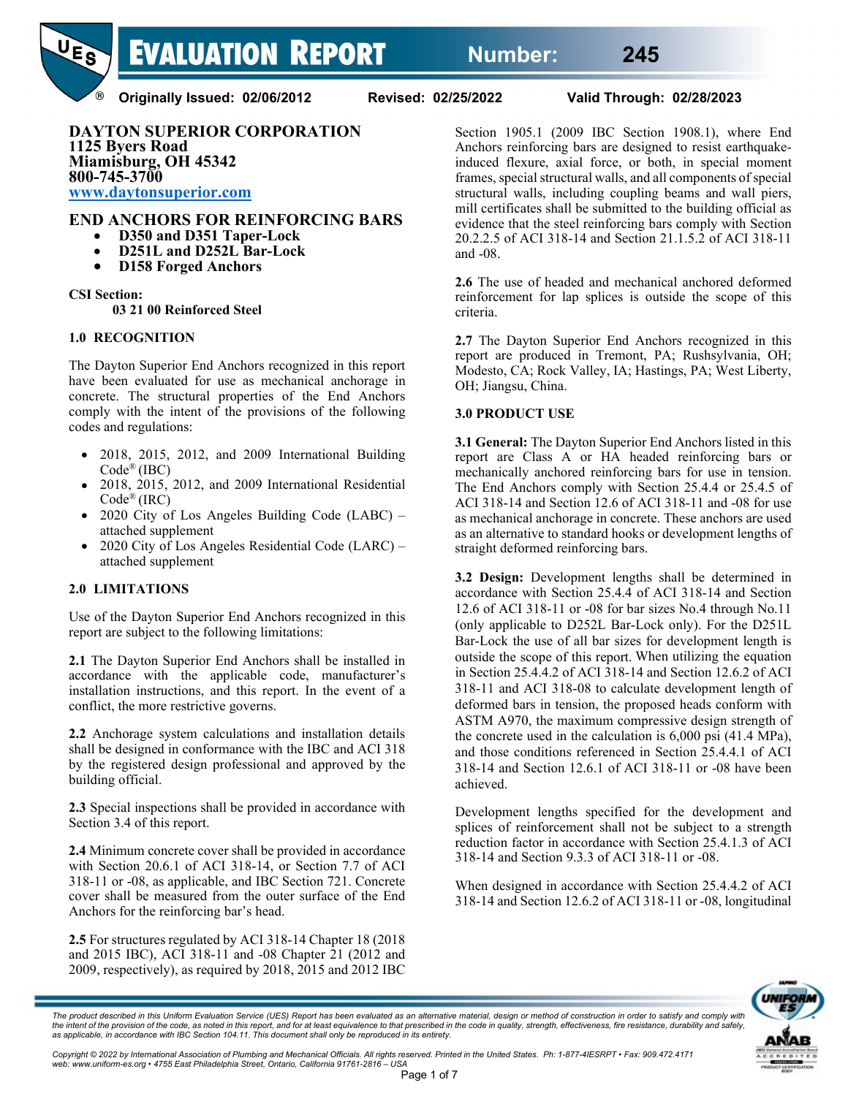

**Originally Issued: 02/06/2012 Revised: 02/25/2022 Valid Through: 02/28/2023**

**DAYTON SUPERIOR CORPORATION 1125 Byers Road Miamisburg, OH 45342 800-745-3700 [www.daytonsuperior.com](http://www.daytonsuperior.com/)**

# **END ANCHORS FOR REINFORCING BARS** • **D350 and D351 Taper-Lock**

- 
- **D251L and D252L Bar-Lock D158 Forged Anchors**
- 

#### **CSI Section:**

**03 21 00 Reinforced Steel** 

#### **1.0 RECOGNITION**

The Dayton Superior End Anchors recognized in this report have been evaluated for use as mechanical anchorage in concrete. The structural properties of the End Anchors comply with the intent of the provisions of the following codes and regulations:

- 2018, 2015, 2012, and 2009 International Building Code® (IBC)
- 2018, 2015, 2012, and 2009 International Residential  $Code^{\circledR} (IRC)$
- 2020 City of Los Angeles Building Code (LABC) attached supplement
- 2020 City of Los Angeles Residential Code (LARC) attached supplement

## **2.0 LIMITATIONS**

Use of the Dayton Superior End Anchors recognized in this report are subject to the following limitations:

**2.1** The Dayton Superior End Anchors shall be installed in accordance with the applicable code, manufacturer's installation instructions, and this report. In the event of a conflict, the more restrictive governs.

**2.2** Anchorage system calculations and installation details shall be designed in conformance with the IBC and ACI 318 by the registered design professional and approved by the building official.

**2.3** Special inspections shall be provided in accordance with Section 3.4 of this report.

**2.4** Minimum concrete cover shall be provided in accordance with Section 20.6.1 of ACI 318-14, or Section 7.7 of ACI 318-11 or -08, as applicable, and IBC Section 721. Concrete cover shall be measured from the outer surface of the End Anchors for the reinforcing bar's head.

**2.5** For structures regulated by ACI 318-14 Chapter 18 (2018 and 2015 IBC), ACI 318-11 and -08 Chapter 21 (2012 and 2009, respectively), as required by 2018, 2015 and 2012 IBC

Section 1905.1 (2009 IBC Section 1908.1), where End Anchors reinforcing bars are designed to resist earthquakeinduced flexure, axial force, or both, in special moment frames, special structural walls, and all components of special structural walls, including coupling beams and wall piers, mill certificates shall be submitted to the building official as evidence that the steel reinforcing bars comply with Section 20.2.2.5 of ACI 318-14 and Section 21.1.5.2 of ACI 318-11 and -08.

**2.6** The use of headed and mechanical anchored deformed reinforcement for lap splices is outside the scope of this criteria.

**2.7** The Dayton Superior End Anchors recognized in this report are produced in Tremont, PA; Rushsylvania, OH; Modesto, CA; Rock Valley, IA; Hastings, PA; West Liberty, OH; Jiangsu, China.

#### **3.0 PRODUCT USE**

**3.1 General:** The Dayton Superior End Anchors listed in this report are Class A or HA headed reinforcing bars or mechanically anchored reinforcing bars for use in tension. The End Anchors comply with Section 25.4.4 or 25.4.5 of ACI 318-14 and Section 12.6 of ACI 318-11 and -08 for use as mechanical anchorage in concrete. These anchors are used as an alternative to standard hooks or development lengths of straight deformed reinforcing bars.

**3.2 Design:** Development lengths shall be determined in accordance with Section 25.4.4 of ACI 318-14 and Section 12.6 of ACI 318-11 or -08 for bar sizes No.4 through No.11 (only applicable to D252L Bar-Lock only). For the D251L Bar-Lock the use of all bar sizes for development length is outside the scope of this report. When utilizing the equation in Section 25.4.4.2 of ACI 318-14 and Section 12.6.2 of ACI 318-11 and ACI 318-08 to calculate development length of deformed bars in tension, the proposed heads conform with ASTM A970, the maximum compressive design strength of the concrete used in the calculation is 6,000 psi (41.4 MPa), and those conditions referenced in Section 25.4.4.1 of ACI 318-14 and Section 12.6.1 of ACI 318-11 or -08 have been achieved.

Development lengths specified for the development and splices of reinforcement shall not be subject to a strength reduction factor in accordance with Section 25.4.1.3 of ACI 318-14 and Section 9.3.3 of ACI 318-11 or -08.

When designed in accordance with Section 25.4.4.2 of ACI 318-14 and Section 12.6.2 of ACI 318-11 or -08, longitudinal



The product described in this Uniform Evaluation Service (UES) Report has been evaluated as an alternative material, design or method of construction in order to satisfy and comply with the intent of the provision of the code, as noted in this report, and for at least equivalence to that prescribed in the code in quality, strength, effectiveness, fire resistance, durability and safely,<br>as applicable, in a

Copyright © 2022 by International Association of Plumbing and Mechanical Officials. All rights reserved. Printed in the United States. Ph: 1-877-4IESRPT • Fax: 909.472.4171<br>web: www.uniform-es.org • 4755 East Philadelphia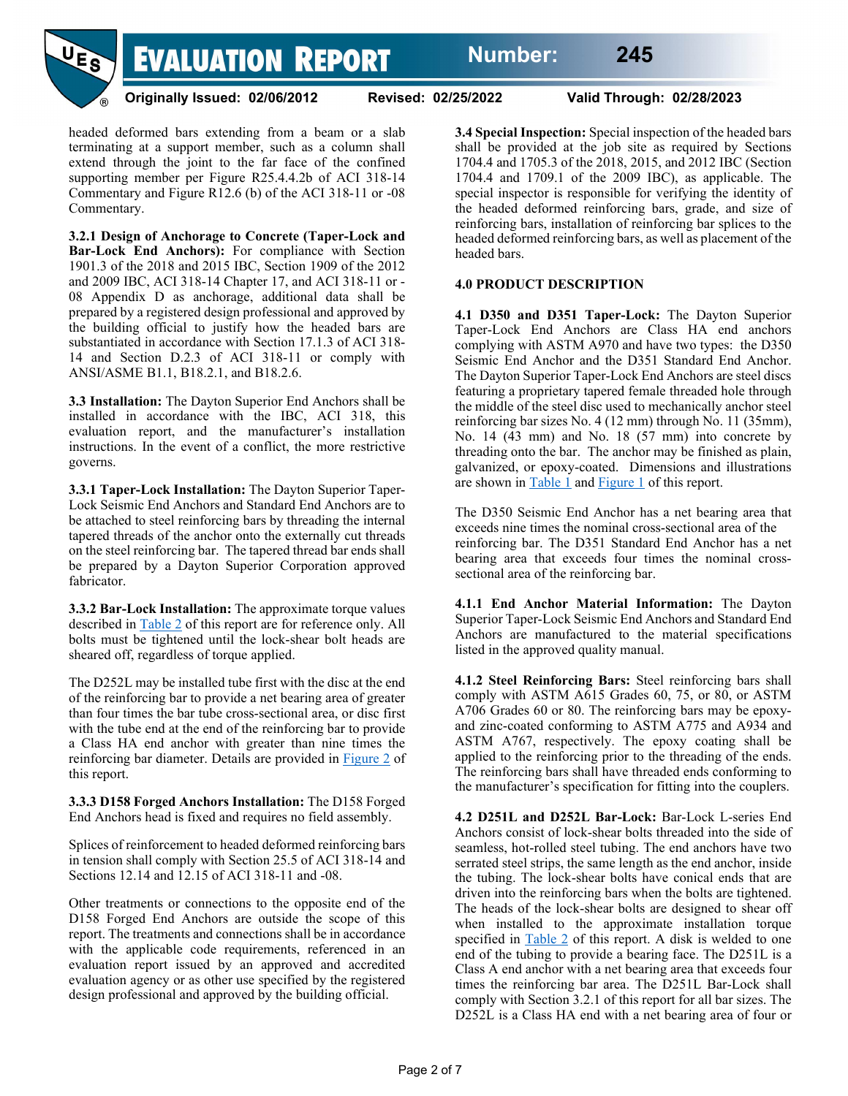

**Originally Issued: 02/06/2012 Revised: 02/25/2022 Valid Through: 02/28/2023**

headed deformed bars extending from a beam or a slab terminating at a support member, such as a column shall extend through the joint to the far face of the confined supporting member per Figure R25.4.4.2b of ACI 318-14 Commentary and Figure R12.6 (b) of the ACI 318-11 or -08 Commentary.

**3.2.1 Design of Anchorage to Concrete (Taper-Lock and Bar-Lock End Anchors):** For compliance with Section 1901.3 of the 2018 and 2015 IBC, Section 1909 of the 2012 and 2009 IBC, ACI 318-14 Chapter 17, and ACI 318-11 or - 08 Appendix D as anchorage, additional data shall be prepared by a registered design professional and approved by the building official to justify how the headed bars are substantiated in accordance with Section 17.1.3 of ACI 318- 14 and Section D.2.3 of ACI 318-11 or comply with ANSI/ASME B1.1, B18.2.1, and B18.2.6.

**3.3 Installation:** The Dayton Superior End Anchors shall be installed in accordance with the IBC, ACI 318, this evaluation report, and the manufacturer's installation instructions. In the event of a conflict, the more restrictive governs.

**3.3.1 Taper-Lock Installation:** The Dayton Superior Taper-Lock Seismic End Anchors and Standard End Anchors are to be attached to steel reinforcing bars by threading the internal tapered threads of the anchor onto the externally cut threads on the steel reinforcing bar. The tapered thread bar ends shall be prepared by a Dayton Superior Corporation approved fabricator.

**3.3.2 Bar-Lock Installation:** The approximate torque values described in [Table 2](#page-4-0) of this report are for reference only. All bolts must be tightened until the lock-shear bolt heads are sheared off, regardless of torque applied.

The D252L may be installed tube first with the disc at the end of the reinforcing bar to provide a net bearing area of greater than four times the bar tube cross-sectional area, or disc first with the tube end at the end of the reinforcing bar to provide a Class HA end anchor with greater than nine times the reinforcing bar diameter. Details are provided in [Figure 2](#page-4-1) of this report.

**3.3.3 D158 Forged Anchors Installation:** The D158 Forged End Anchors head is fixed and requires no field assembly.

Splices of reinforcement to headed deformed reinforcing bars in tension shall comply with Section 25.5 of ACI 318-14 and Sections 12.14 and 12.15 of ACI 318-11 and -08.

Other treatments or connections to the opposite end of the D158 Forged End Anchors are outside the scope of this report. The treatments and connections shall be in accordance with the applicable code requirements, referenced in an evaluation report issued by an approved and accredited evaluation agency or as other use specified by the registered design professional and approved by the building official.

**3.4 Special Inspection:** Special inspection of the headed bars shall be provided at the job site as required by Sections 1704.4 and 1705.3 of the 2018, 2015, and 2012 IBC (Section 1704.4 and 1709.1 of the 2009 IBC), as applicable. The special inspector is responsible for verifying the identity of the headed deformed reinforcing bars, grade, and size of reinforcing bars, installation of reinforcing bar splices to the headed deformed reinforcing bars, as well as placement of the headed bars.

#### **4.0 PRODUCT DESCRIPTION**

**4.1 D350 and D351 Taper-Lock:** The Dayton Superior Taper-Lock End Anchors are Class HA end anchors complying with ASTM A970 and have two types: the D350 Seismic End Anchor and the D351 Standard End Anchor. The Dayton Superior Taper-Lock End Anchors are steel discs featuring a proprietary tapered female threaded hole through the middle of the steel disc used to mechanically anchor steel reinforcing bar sizes No. 4 (12 mm) through No. 11 (35mm), No. 14 (43 mm) and No. 18 (57 mm) into concrete by threading onto the bar. The anchor may be finished as plain, galvanized, or epoxy-coated. Dimensions and illustrations are shown in [Table 1](#page-3-0) and [Figure 1](#page-3-1) of this report.

The D350 Seismic End Anchor has a net bearing area that exceeds nine times the nominal cross-sectional area of the reinforcing bar. The D351 Standard End Anchor has a net bearing area that exceeds four times the nominal crosssectional area of the reinforcing bar.

**4.1.1 End Anchor Material Information:** The Dayton Superior Taper-Lock Seismic End Anchors and Standard End Anchors are manufactured to the material specifications listed in the approved quality manual.

**4.1.2 Steel Reinforcing Bars:** Steel reinforcing bars shall comply with ASTM A615 Grades 60, 75, or 80, or ASTM A706 Grades 60 or 80. The reinforcing bars may be epoxyand zinc-coated conforming to ASTM A775 and A934 and ASTM A767, respectively. The epoxy coating shall be applied to the reinforcing prior to the threading of the ends. The reinforcing bars shall have threaded ends conforming to the manufacturer's specification for fitting into the couplers.

**4.2 D251L and D252L Bar-Lock:** Bar-Lock L-series End Anchors consist of lock-shear bolts threaded into the side of seamless, hot-rolled steel tubing. The end anchors have two serrated steel strips, the same length as the end anchor, inside the tubing. The lock-shear bolts have conical ends that are driven into the reinforcing bars when the bolts are tightened. The heads of the lock-shear bolts are designed to shear off when installed to the approximate installation torque specified in [Table 2](#page-4-0) of this report. A disk is welded to one end of the tubing to provide a bearing face. The D251L is a Class A end anchor with a net bearing area that exceeds four times the reinforcing bar area. The D251L Bar-Lock shall comply with Section 3.2.1 of this report for all bar sizes. The D252L is a Class HA end with a net bearing area of four or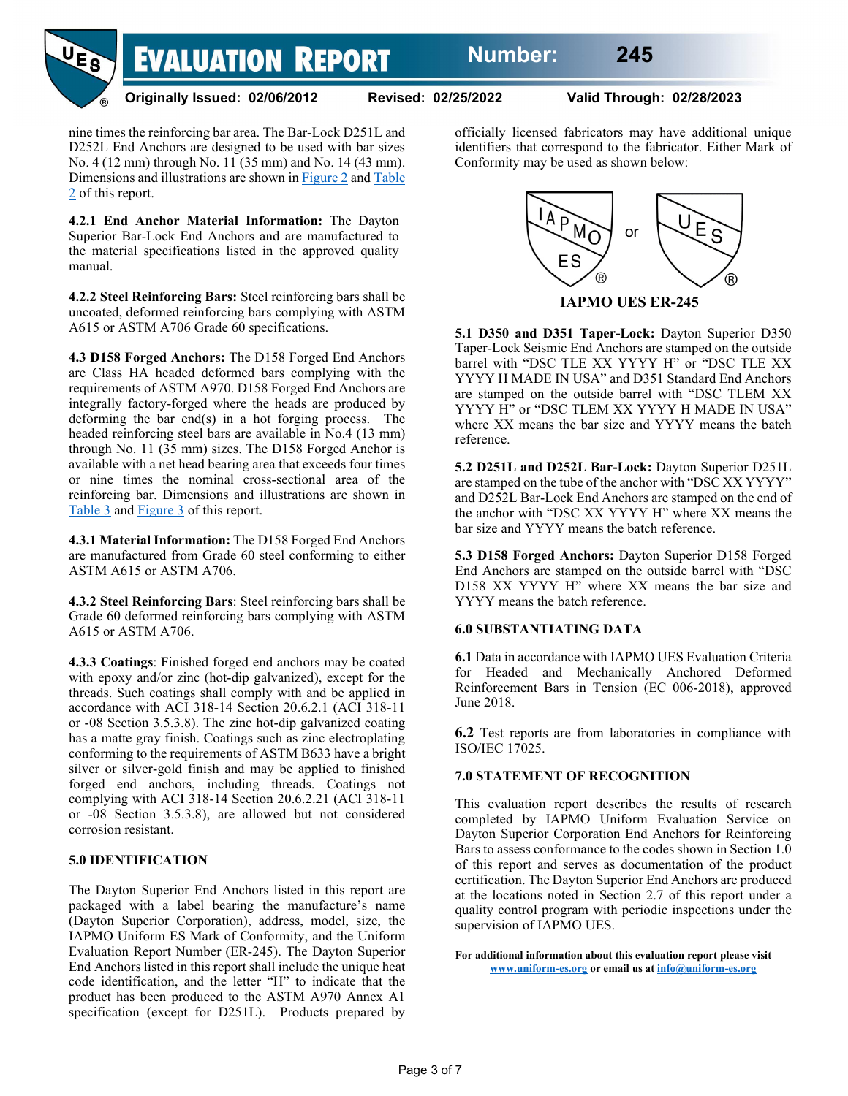

#### **Originally Issued: 02/06/2012 Revised: 02/25/2022 Valid Through: 02/28/2023**

nine times the reinforcing bar area. The Bar-Lock D251L and D252L End Anchors are designed to be used with bar sizes No. 4 (12 mm) through No. 11 (35 mm) and No. 14 (43 mm). Dimensions and illustrations are shown in [Figure 2](#page-4-1) and [Table](#page-4-0)  [2](#page-4-0) of this report.

**4.2.1 End Anchor Material Information:** The Dayton Superior Bar-Lock End Anchors and are manufactured to the material specifications listed in the approved quality manual.

**4.2.2 Steel Reinforcing Bars:** Steel reinforcing bars shall be uncoated, deformed reinforcing bars complying with ASTM A615 or ASTM A706 Grade 60 specifications.

**4.3 D158 Forged Anchors:** The D158 Forged End Anchors are Class HA headed deformed bars complying with the requirements of ASTM A970. D158 Forged End Anchors are integrally factory-forged where the heads are produced by deforming the bar end(s) in a hot forging process. The headed reinforcing steel bars are available in No.4 (13 mm) through No. 11 (35 mm) sizes. The D158 Forged Anchor is available with a net head bearing area that exceeds four times or nine times the nominal cross-sectional area of the reinforcing bar. Dimensions and illustrations are shown in [Table 3](#page-5-0) and [Figure 3](#page-5-1) of this report.

**4.3.1 Material Information:** The D158 Forged End Anchors are manufactured from Grade 60 steel conforming to either ASTM A615 or ASTM A706.

**4.3.2 Steel Reinforcing Bars**: Steel reinforcing bars shall be Grade 60 deformed reinforcing bars complying with ASTM A615 or ASTM A706.

**4.3.3 Coatings**: Finished forged end anchors may be coated with epoxy and/or zinc (hot-dip galvanized), except for the threads. Such coatings shall comply with and be applied in accordance with ACI 318-14 Section 20.6.2.1 (ACI 318-11 or -08 Section 3.5.3.8). The zinc hot-dip galvanized coating has a matte gray finish. Coatings such as zinc electroplating conforming to the requirements of ASTM B633 have a bright silver or silver-gold finish and may be applied to finished forged end anchors, including threads. Coatings not complying with ACI 318-14 Section 20.6.2.21 (ACI 318-11 or -08 Section 3.5.3.8), are allowed but not considered corrosion resistant.

#### **5.0 IDENTIFICATION**

The Dayton Superior End Anchors listed in this report are packaged with a label bearing the manufacture's name (Dayton Superior Corporation), address, model, size, the IAPMO Uniform ES Mark of Conformity, and the Uniform Evaluation Report Number (ER-245). The Dayton Superior End Anchors listed in this report shall include the unique heat code identification, and the letter "H" to indicate that the product has been produced to the ASTM A970 Annex A1 specification (except for D251L). Products prepared by officially licensed fabricators may have additional unique identifiers that correspond to the fabricator. Either Mark of Conformity may be used as shown below:



**5.1 D350 and D351 Taper-Lock:** Dayton Superior D350 Taper-Lock Seismic End Anchors are stamped on the outside barrel with "DSC TLE XX YYYY H" or "DSC TLE XX YYYY H MADE IN USA" and D351 Standard End Anchors are stamped on the outside barrel with "DSC TLEM XX YYYY H" or "DSC TLEM XX YYYY H MADE IN USA" where XX means the bar size and YYYY means the batch reference.

**5.2 D251L and D252L Bar-Lock:** Dayton Superior D251L are stamped on the tube of the anchor with "DSC XX YYYY" and D252L Bar-Lock End Anchors are stamped on the end of the anchor with "DSC XX YYYY H" where XX means the bar size and YYYY means the batch reference.

**5.3 D158 Forged Anchors:** Dayton Superior D158 Forged End Anchors are stamped on the outside barrel with "DSC D158 XX YYYY H" where XX means the bar size and YYYY means the batch reference.

#### **6.0 SUBSTANTIATING DATA**

**6.1** Data in accordance with IAPMO UES Evaluation Criteria for Headed and Mechanically Anchored Deformed Reinforcement Bars in Tension (EC 006-2018), approved June 2018.

**6.2** Test reports are from laboratories in compliance with ISO/IEC 17025.

#### **7.0 STATEMENT OF RECOGNITION**

This evaluation report describes the results of research completed by IAPMO Uniform Evaluation Service on Dayton Superior Corporation End Anchors for Reinforcing Bars to assess conformance to the codes shown in Section 1.0 of this report and serves as documentation of the product certification. The Dayton Superior End Anchors are produced at the locations noted in Section 2.7 of this report under a quality control program with periodic inspections under the supervision of IAPMO UES.

**For additional information about this evaluation report please visit [www.uniform-es.org](http://www.uniform-es.org/) or email us a[t info@uniform-es.org](mailto:info@uniform-es.org)**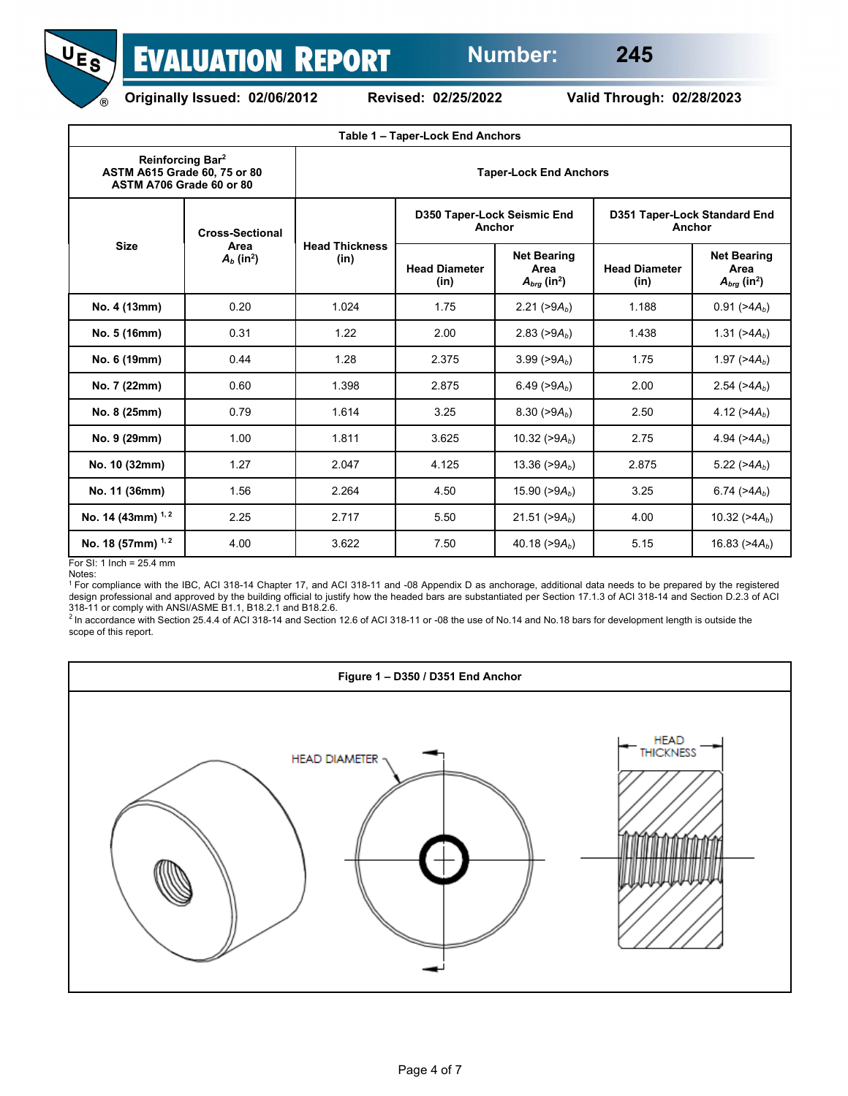



**Originally Issued: 02/06/2012 Revised: 02/25/2022 Valid Through: 02/28/2023**

<span id="page-3-0"></span>

| Table 1 - Taper-Lock End Anchors                                                         |                                                            |                               |                                       |                                                            |                                        |                                                            |  |  |  |
|------------------------------------------------------------------------------------------|------------------------------------------------------------|-------------------------------|---------------------------------------|------------------------------------------------------------|----------------------------------------|------------------------------------------------------------|--|--|--|
| Reinforcing Bar <sup>2</sup><br>ASTM A615 Grade 60, 75 or 80<br>ASTM A706 Grade 60 or 80 |                                                            | <b>Taper-Lock End Anchors</b> |                                       |                                                            |                                        |                                                            |  |  |  |
| <b>Size</b>                                                                              | <b>Cross-Sectional</b><br>Area<br>$A_b$ (in <sup>2</sup> ) | <b>Head Thickness</b><br>(in) | D350 Taper-Lock Seismic End<br>Anchor |                                                            | D351 Taper-Lock Standard End<br>Anchor |                                                            |  |  |  |
|                                                                                          |                                                            |                               | <b>Head Diameter</b><br>(in)          | <b>Net Bearing</b><br>Area<br>$A_{brg}$ (in <sup>2</sup> ) | <b>Head Diameter</b><br>(in)           | <b>Net Bearing</b><br>Area<br>$A_{brg}$ (in <sup>2</sup> ) |  |  |  |
| No. 4 (13mm)                                                                             | 0.20                                                       | 1.024                         | 1.75                                  | 2.21 ( $>9A_b$ )                                           | 1.188                                  | $0.91$ ( $>4A_b$ )                                         |  |  |  |
| No. 5 (16mm)                                                                             | 0.31                                                       | 1.22                          | 2.00                                  | 2.83 ( $>9A_b$ )                                           | 1.438                                  | 1.31 ( $>4A_b$ )                                           |  |  |  |
| No. 6 (19mm)                                                                             | 0.44                                                       | 1.28                          | 2.375                                 | 3.99 ( $>9A_b$ )                                           | 1.75                                   | 1.97 ( $>4A_b$ )                                           |  |  |  |
| No. 7 (22mm)                                                                             | 0.60                                                       | 1.398                         | 2.875                                 | 6.49 ( $>9A_b$ )                                           | 2.00                                   | 2.54 ( $>4A_b$ )                                           |  |  |  |
| No. 8 (25mm)                                                                             | 0.79                                                       | 1.614                         | 3.25                                  | 8.30 ( $>9A_b$ )                                           | 2.50                                   | 4.12 $( >4A_b)$                                            |  |  |  |
| No. 9 (29mm)                                                                             | 1.00                                                       | 1.811                         | 3.625                                 | 10.32 ( $>9A_b$ )                                          | 2.75                                   | 4.94 $( >4A_b)$                                            |  |  |  |
| No. 10 (32mm)                                                                            | 1.27                                                       | 2.047                         | 4.125                                 | 13.36 ( $>9A_b$ )                                          | 2.875                                  | 5.22 ( $>4A_b$ )                                           |  |  |  |
| No. 11 (36mm)                                                                            | 1.56                                                       | 2.264                         | 4.50                                  | 15.90 ( $>9A_b$ )                                          | 3.25                                   | 6.74 ( $>4A_b$ )                                           |  |  |  |
| No. 14 (43mm) $1, 2$                                                                     | 2.25                                                       | 2.717                         | 21.51 ( $>9A_b$ )<br>5.50<br>4.00     |                                                            |                                        | 10.32 ( $>4A_b$ )                                          |  |  |  |
| No. 18 (57mm) <sup>1, 2</sup>                                                            | 4.00                                                       | 3.622                         | 7.50                                  | 40.18 ( $>9A_b$ )                                          | 5.15                                   | 16.83 ( $>4A_b$ )                                          |  |  |  |

For SI: 1 Inch = 25.4 mm

<sup>1</sup> For compliance with the IBC, ACI 318-14 Chapter 17, and ACI 318-11 and -08 Appendix D as anchorage, additional data needs to be prepared by the registered design professional and approved by the building official to justify how the headed bars are substantiated per Section 17.1.3 of ACI 318-14 and Section D.2.3 of ACI

318-11 or comply with ANSI/ASME B1.1, B18.2.1 and B18.2.6.<br><sup>2</sup> In accordance with Section 25.4.4 of ACI 318-14 and Section 12.6 of ACI 318-11 or -08 the use of No.14 and No.18 bars for development length is outside the scope of this report.

<span id="page-3-1"></span>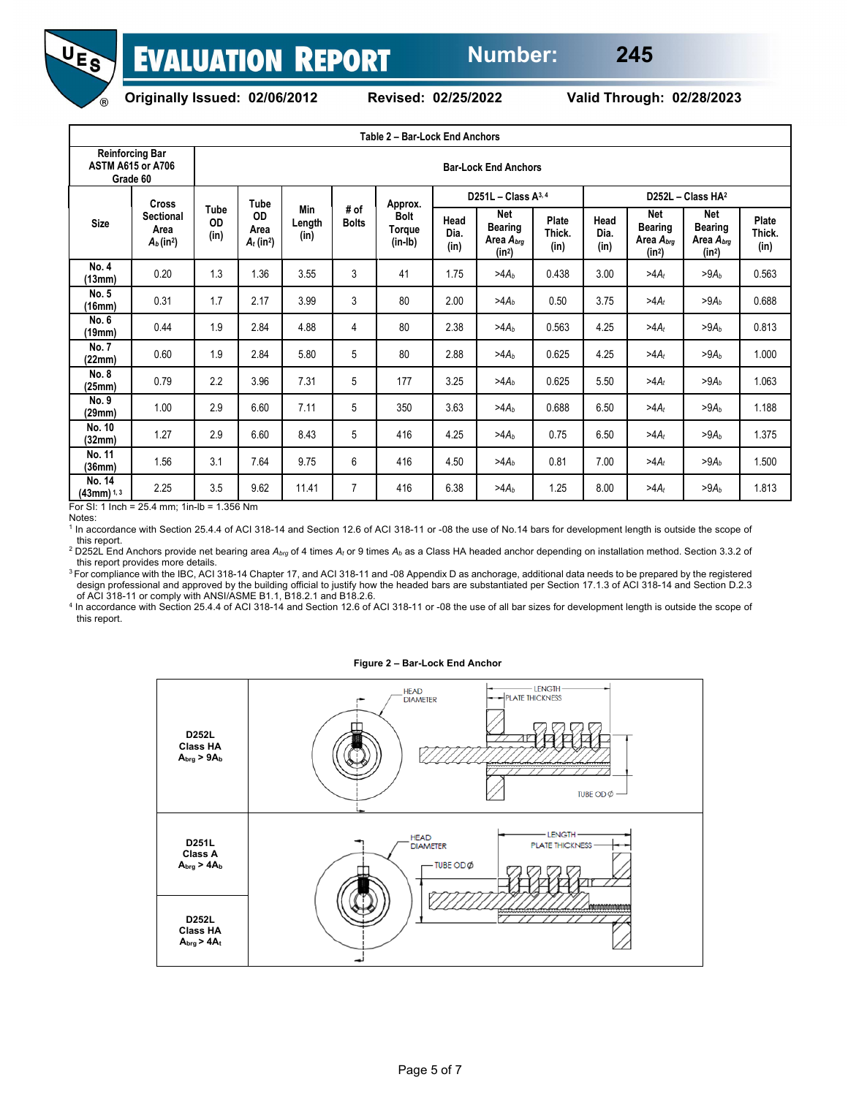



<span id="page-4-0"></span>

**Originally Issued: 02/06/2012 Revised: 02/25/2022 Valid Through: 02/28/2023**

| Table 2 - Bar-Lock End Anchors |                                                                      |                    |                                                |                       |                             |                                               |              |                                                                           |                 |              |                                                |                                                                                 |                 |
|--------------------------------|----------------------------------------------------------------------|--------------------|------------------------------------------------|-----------------------|-----------------------------|-----------------------------------------------|--------------|---------------------------------------------------------------------------|-----------------|--------------|------------------------------------------------|---------------------------------------------------------------------------------|-----------------|
|                                | <b>Reinforcing Bar</b><br><b>ASTM A615 or A706</b><br>Grade 60       |                    |                                                |                       | <b>Bar-Lock End Anchors</b> |                                               |              |                                                                           |                 |              |                                                |                                                                                 |                 |
| <b>Size</b>                    | <b>Cross</b><br><b>Sectional</b><br>Area<br>$A_b$ (in <sup>2</sup> ) | Tube<br>OD<br>(in) | Tube<br>OD<br>Area<br>$A_t$ (in <sup>2</sup> ) | Min<br>Length<br>(in) | # of<br><b>Bolts</b>        | Approx.<br><b>Bolt</b><br>Torque<br>$(in-lb)$ | Head<br>Dia. | D251L - Class $A^{3,4}$<br>Net<br><b>Bearing</b><br>Area A <sub>bra</sub> | Plate<br>Thick. | Head<br>Dia. | Net<br><b>Bearing</b><br>Area A <sub>brg</sub> | D252L - Class HA <sup>2</sup><br>Net<br><b>Bearing</b><br>Area A <sub>bra</sub> | Plate<br>Thick. |
|                                |                                                                      |                    |                                                |                       |                             |                                               | (in)         | (in <sup>2</sup> )                                                        | (in)            | (in)         | (in <sup>2</sup> )                             | (in <sup>2</sup> )                                                              | (in)            |
| No. 4<br>(13mm)                | 0.20                                                                 | 1.3                | 1.36                                           | 3.55                  | 3                           | 41                                            | 1.75         | $>4A_b$                                                                   | 0.438           | 3.00         | $>4A_t$                                        | $>9A_b$                                                                         | 0.563           |
| No. 5<br>(16mm)                | 0.31                                                                 | 1.7                | 2.17                                           | 3.99                  | 3                           | 80                                            | 2.00         | $>4A_b$                                                                   | 0.50            | 3.75         | $>4A_t$                                        | $>9A_b$                                                                         | 0.688           |
| No. 6<br>(19mm)                | 0.44                                                                 | 1.9                | 2.84                                           | 4.88                  | $\overline{4}$              | 80                                            | 2.38         | $>4A_h$                                                                   | 0.563           | 4.25         | $>4A_t$                                        | >9A <sub>b</sub>                                                                | 0.813           |
| <b>No. 7</b><br>(22mm)         | 0.60                                                                 | 1.9                | 2.84                                           | 5.80                  | 5                           | 80                                            | 2.88         | $>4A_b$                                                                   | 0.625           | 4.25         | $>4A_t$                                        | $>9A_h$                                                                         | 1.000           |
| No. 8<br>(25mm)                | 0.79                                                                 | 2.2                | 3.96                                           | 7.31                  | 5                           | 177                                           | 3.25         | $>4A_b$                                                                   | 0.625           | 5.50         | $>4A_t$                                        | $>9A_b$                                                                         | 1.063           |
| No. 9<br>(29mm)                | 1.00                                                                 | 2.9                | 6.60                                           | 7.11                  | 5                           | 350                                           | 3.63         | $>4A_b$                                                                   | 0.688           | 6.50         | $>4A_t$                                        | $>9A_h$                                                                         | 1.188           |
| No. 10<br>(32mm)               | 1.27                                                                 | 2.9                | 6.60                                           | 8.43                  | 5                           | 416                                           | 4.25         | $>4A_h$                                                                   | 0.75            | 6.50         | $>4A_t$                                        | $>9A_h$                                                                         | 1.375           |
| No. 11<br>(36mm)               | 1.56                                                                 | 3.1                | 7.64                                           | 9.75                  | 6                           | 416                                           | 4.50         | $>4A_b$                                                                   | 0.81            | 7.00         | $>4A_t$                                        | $>9A_b$                                                                         | 1.500           |
| No. 14<br>$(43mm)^{1,3}$       | 2.25                                                                 | 3.5                | 9.62                                           | 11.41                 | $\overline{7}$              | 416                                           | 6.38         | $>4A_h$                                                                   | 1.25            | 8.00         | $>4A_t$                                        | $>9A_h$                                                                         | 1.813           |

For SI: 1 Inch = 25.4 mm; 1in-lb = 1.356 Nm

Notes:

<sup>1</sup> In accordance with Section 25.4.4 of ACI 318-14 and Section 12.6 of ACI 318-11 or -08 the use of No.14 bars for development length is outside the scope of this report.

<sup>2</sup> D252L End Anchors provide net bearing area *Abrg* of 4 times *At* or 9 times *Ab* as a Class HA headed anchor depending on installation method. Section 3.3.2 of this report provides more details.

<sup>3</sup> For compliance with the IBC, ACI 318-14 Chapter 17, and ACI 318-11 and -08 Appendix D as anchorage, additional data needs to be prepared by the registered design professional and approved by the building official to justify how the headed bars are substantiated per Section 17.1.3 of ACI 318-14 and Section D.2.3 of ACI 318-11 or comply with ANSI/ASME B1.1, B18.2.1 and B18.2.6.

<sup>4</sup> In accordance with Section 25.4.4 of ACI 318-14 and Section 12.6 of ACI 318-11 or -08 the use of all bar sizes for development length is outside the scope of this report.

#### **Figure 2 – Bar-Lock End Anchor**

<span id="page-4-1"></span>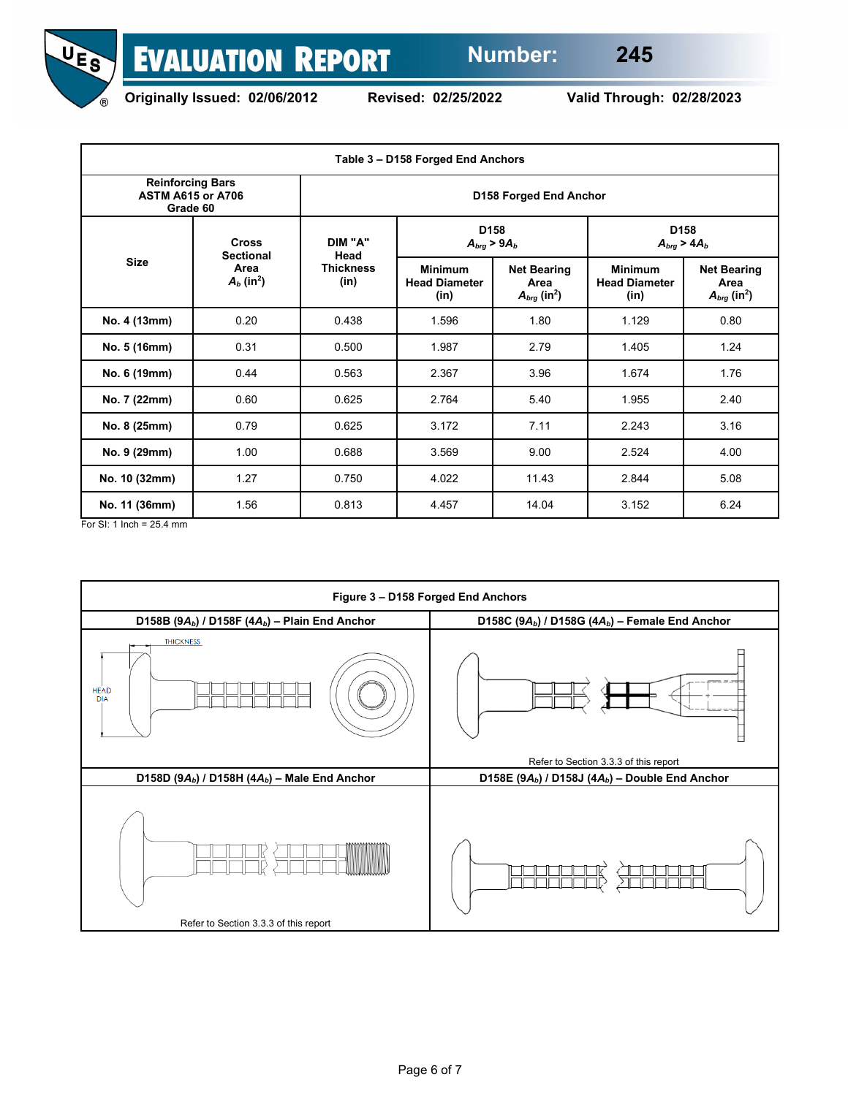



<span id="page-5-0"></span>

**Originally Issued: 02/06/2012 Revised: 02/25/2022 Valid Through: 02/28/2023**

| Table 3 - D158 Forged End Anchors                               |                                  |                          |                                                |                                                                                      |                                         |                                                            |  |  |  |
|-----------------------------------------------------------------|----------------------------------|--------------------------|------------------------------------------------|--------------------------------------------------------------------------------------|-----------------------------------------|------------------------------------------------------------|--|--|--|
| <b>Reinforcing Bars</b><br><b>ASTM A615 or A706</b><br>Grade 60 |                                  | D158 Forged End Anchor   |                                                |                                                                                      |                                         |                                                            |  |  |  |
|                                                                 | <b>Cross</b><br><b>Sectional</b> | DIM "A"<br>Head          |                                                | D <sub>158</sub><br>$A_{brg}$ > 9 $A_b$                                              | D <sub>158</sub><br>$A_{bra}$ > 4 $A_b$ |                                                            |  |  |  |
| <b>Size</b>                                                     | Area<br>$A_b$ (in <sup>2</sup> ) | <b>Thickness</b><br>(in) | <b>Minimum</b><br><b>Head Diameter</b><br>(in) | <b>Minimum</b><br><b>Net Bearing</b><br>Area<br>$A_{brq}$ (in <sup>2</sup> )<br>(in) | <b>Head Diameter</b>                    | <b>Net Bearing</b><br>Area<br>$A_{brq}$ (in <sup>2</sup> ) |  |  |  |
| No. 4 (13mm)                                                    | 0.20                             | 0.438                    | 1.596                                          | 1.80                                                                                 | 1.129                                   | 0.80                                                       |  |  |  |
| No. 5 (16mm)                                                    | 0.31                             | 0.500                    | 1.987                                          | 2.79                                                                                 | 1.405                                   | 1.24                                                       |  |  |  |
| No. 6 (19mm)                                                    | 0.44                             | 0.563                    | 2.367                                          | 3.96                                                                                 | 1.674                                   | 1.76                                                       |  |  |  |
| No. 7 (22mm)                                                    | 0.60                             | 0.625                    | 2.764                                          | 5.40                                                                                 | 1.955                                   | 2.40                                                       |  |  |  |
| No. 8 (25mm)                                                    | 0.79                             | 0.625                    | 3.172                                          | 7.11                                                                                 | 2.243                                   | 3.16                                                       |  |  |  |
| No. 9 (29mm)                                                    | 1.00                             | 0.688                    | 3.569                                          | 9.00                                                                                 | 2.524                                   | 4.00                                                       |  |  |  |
| No. 10 (32mm)                                                   | 1.27                             | 0.750                    | 4.022                                          | 11.43                                                                                | 2.844                                   | 5.08                                                       |  |  |  |
| No. 11 (36mm)                                                   | 1.56                             | 0.813                    | 4.457                                          | 14.04                                                                                | 3.152                                   | 6.24                                                       |  |  |  |

For SI: 1 Inch = 25.4 mm

<span id="page-5-1"></span>